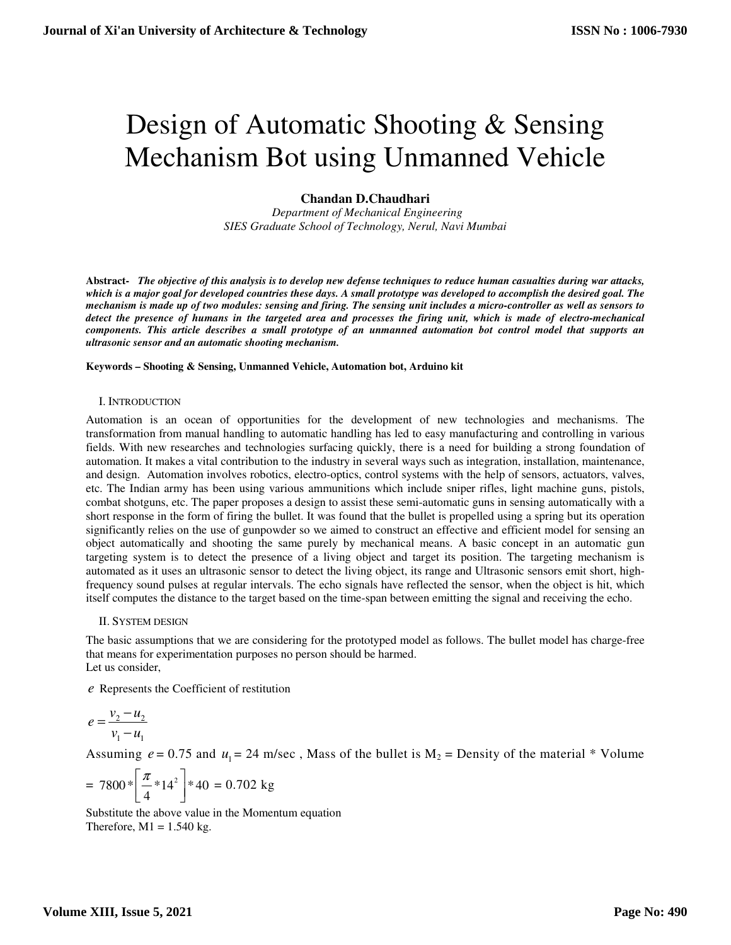# Design of Automatic Shooting & Sensing Mechanism Bot using Unmanned Vehicle

## **Chandan D.Chaudhari**

 *Department of Mechanical Engineering SIES Graduate School of Technology, Nerul, Navi Mumbai* 

**Abstract-** *The objective of this analysis is to develop new defense techniques to reduce human casualties during war attacks, which is a major goal for developed countries these days. A small prototype was developed to accomplish the desired goal. The mechanism is made up of two modules: sensing and firing. The sensing unit includes a micro-controller as well as sensors to detect the presence of humans in the targeted area and processes the firing unit, which is made of electro-mechanical components. This article describes a small prototype of an unmanned automation bot control model that supports an ultrasonic sensor and an automatic shooting mechanism.* 

#### **Keywords – Shooting & Sensing, Unmanned Vehicle, Automation bot, Arduino kit**

## I. INTRODUCTION

Automation is an ocean of opportunities for the development of new technologies and mechanisms. The transformation from manual handling to automatic handling has led to easy manufacturing and controlling in various fields. With new researches and technologies surfacing quickly, there is a need for building a strong foundation of automation. It makes a vital contribution to the industry in several ways such as integration, installation, maintenance, and design. Automation involves robotics, electro-optics, control systems with the help of sensors, actuators, valves, etc. The Indian army has been using various ammunitions which include sniper rifles, light machine guns, pistols, combat shotguns, etc. The paper proposes a design to assist these semi-automatic guns in sensing automatically with a short response in the form of firing the bullet. It was found that the bullet is propelled using a spring but its operation significantly relies on the use of gunpowder so we aimed to construct an effective and efficient model for sensing an object automatically and shooting the same purely by mechanical means. A basic concept in an automatic gun targeting system is to detect the presence of a living object and target its position. The targeting mechanism is automated as it uses an ultrasonic sensor to detect the living object, its range and Ultrasonic sensors emit short, highfrequency sound pulses at regular intervals. The echo signals have reflected the sensor, when the object is hit, which itself computes the distance to the target based on the time-span between emitting the signal and receiving the echo.

## II. SYSTEM DESIGN

The basic assumptions that we are considering for the prototyped model as follows. The bullet model has charge-free that means for experimentation purposes no person should be harmed. Let us consider,

*e* Represents the Coefficient of restitution

$$
e = \frac{v_2 - u_2}{v_1 - u_1}
$$

Assuming  $e = 0.75$  and  $u_1 = 24$  m/sec, Mass of the bullet is  $M_2$  = Density of the material \* Volume

$$
= 7800 * \left[ \frac{\pi}{4} * 14^2 \right] * 40 = 0.702 \text{ kg}
$$

Substitute the above value in the Momentum equation Therefore,  $M1 = 1.540$  kg.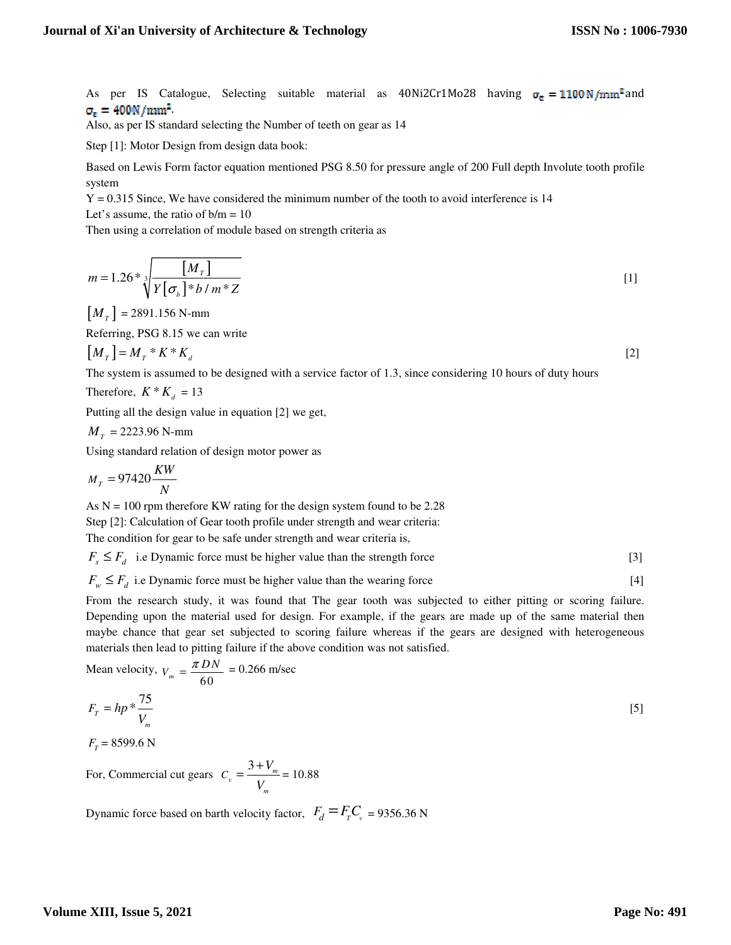As per IS Catalogue, Selecting suitable material as  $40Ni2Cr1Mo28$  having  $\sigma_e = 1100 N/mm^2$  and  $\sigma_{\rm e} = 400 \rm{N/mm^2}$ .

Also, as per IS standard selecting the Number of teeth on gear as 14

Step [1]: Motor Design from design data book:

Based on Lewis Form factor equation mentioned PSG 8.50 for pressure angle of 200 Full depth Involute tooth profile system

 $Y = 0.315$  Since, We have considered the minimum number of the tooth to avoid interference is 14

Let's assume, the ratio of  $b/m = 10$ 

Then using a correlation of module based on strength criteria as

$$
m = 1.26 * \sqrt[3]{\frac{[M_r]}{Y[\sigma_{b}]} * b/m * Z}
$$
 [1]

 $[M_T] = 2891.156 \text{ N-mm}$ 

Referring, PSG 8.15 we can write

$$
\left[M_{T}\right] = M_{T} * K * K_{d} \tag{2}
$$

The system is assumed to be designed with a service factor of 1.3, since considering 10 hours of duty hours

Therefore,  $K * K_d = 13$ 

Putting all the design value in equation [2] we get,

$$
Mr = 2223.96
$$
 N-mm

Using standard relation of design motor power as

$$
M_{T} = 97420 \frac{KW}{N}
$$

As  $N = 100$  rpm therefore KW rating for the design system found to be 2.28

Step [2]: Calculation of Gear tooth profile under strength and wear criteria:

The condition for gear to be safe under strength and wear criteria is,

 $F_s \leq F_d$  i.e Dynamic force must be higher value than the strength force [3]

 $F_w \leq F_d$  i.e Dynamic force must be higher value than the wearing force [4]

From the research study, it was found that The gear tooth was subjected to either pitting or scoring failure. Depending upon the material used for design. For example, if the gears are made up of the same material then maybe chance that gear set subjected to scoring failure whereas if the gears are designed with heterogeneous materials then lead to pitting failure if the above condition was not satisfied.

Mean velocity, 
$$
v_m = \frac{\pi DN}{60} = 0.266
$$
 m/sec  

$$
F_T = hp * \frac{75}{V_m}
$$
 [5]

 $F_T$  = 8599.6 N

For, Commercial cut gears  $C_v = \frac{3 + V_m}{V}$ *m*  $C_v = \frac{3 + V_v}{2}$ *V*  $=\frac{3+V_m}{\sqrt{m}}=10.88$ 

Dynamic force based on barth velocity factor,  $F_d = F_r C_v = 9356.36 \text{ N}$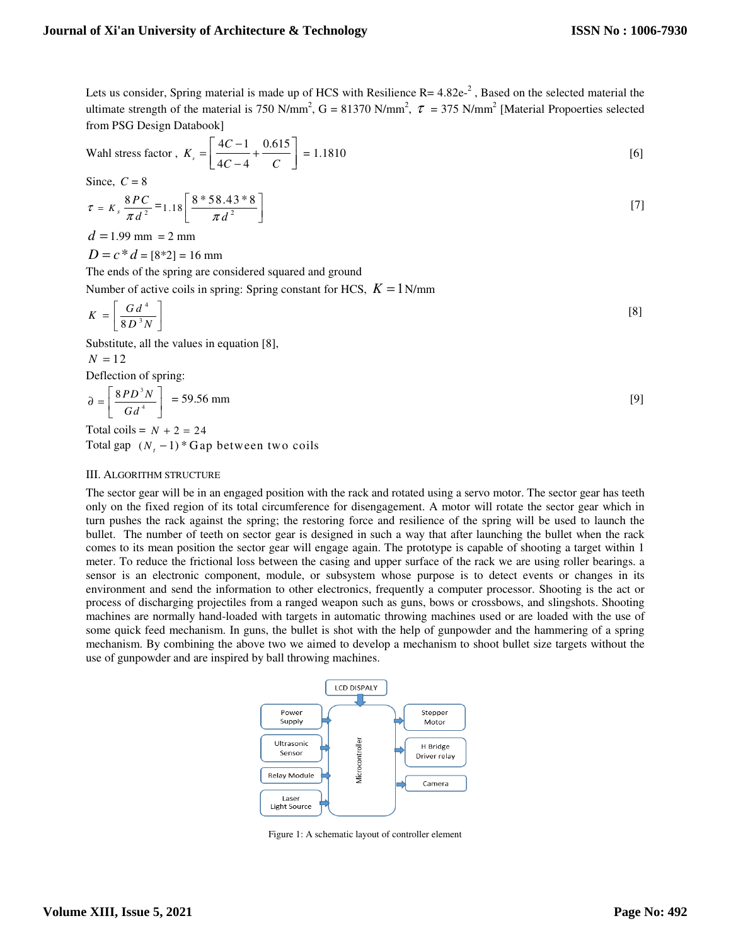Lets us consider, Spring material is made up of HCS with Resilience  $R = 4.82e^{-2}$ , Based on the selected material the ultimate strength of the material is 750 N/mm<sup>2</sup>,  $G = 81370$  N/mm<sup>2</sup>,  $\tau = 375$  N/mm<sup>2</sup> [Material Propoerties selected from PSG Design Databook]

Wahl stress factor, \n 
$$
K_s = \left[ \frac{4C - 1}{4C - 4} + \frac{0.615}{C} \right] = 1.1810
$$
\n

\n[6]

Since,  $C = 8$ 

$$
\tau = K_s \frac{8PC}{\pi d^2} = 1.18 \left[ \frac{8 * 58.43 * 8}{\pi d^2} \right]
$$
 [7]

 $d = 1.99$  mm = 2 mm

 $D = c * d = [8*2] = 16$  mm

The ends of the spring are considered squared and ground

Number of active coils in spring: Spring constant for HCS,  $K = 1$ N/mm

$$
K = \left[\frac{G d^4}{8 D^3 N}\right]
$$
 [8]

Substitute, all the values in equation [8],

$$
N=12
$$

Deflection of spring:

$$
\partial = \left[ \frac{8PD^3 N}{Gd^4} \right] = 59.56 \text{ mm}
$$
 [9]

Total coils =  $N + 2 = 24$ Total gap  $(N, -1)$  *N*<sup>\*</sup> Gap between two coils

## III. ALGORITHM STRUCTURE

The sector gear will be in an engaged position with the rack and rotated using a servo motor. The sector gear has teeth only on the fixed region of its total circumference for disengagement. A motor will rotate the sector gear which in turn pushes the rack against the spring; the restoring force and resilience of the spring will be used to launch the bullet. The number of teeth on sector gear is designed in such a way that after launching the bullet when the rack comes to its mean position the sector gear will engage again. The prototype is capable of shooting a target within 1 meter. To reduce the frictional loss between the casing and upper surface of the rack we are using roller bearings. a sensor is an electronic component, module, or subsystem whose purpose is to detect events or changes in its environment and send the information to other electronics, frequently a computer processor. Shooting is the act or process of discharging projectiles from a ranged weapon such as guns, bows or crossbows, and slingshots. Shooting machines are normally hand-loaded with targets in automatic throwing machines used or are loaded with the use of some quick feed mechanism. In guns, the bullet is shot with the help of gunpowder and the hammering of a spring mechanism. By combining the above two we aimed to develop a mechanism to shoot bullet size targets without the use of gunpowder and are inspired by ball throwing machines.



Figure 1: A schematic layout of controller element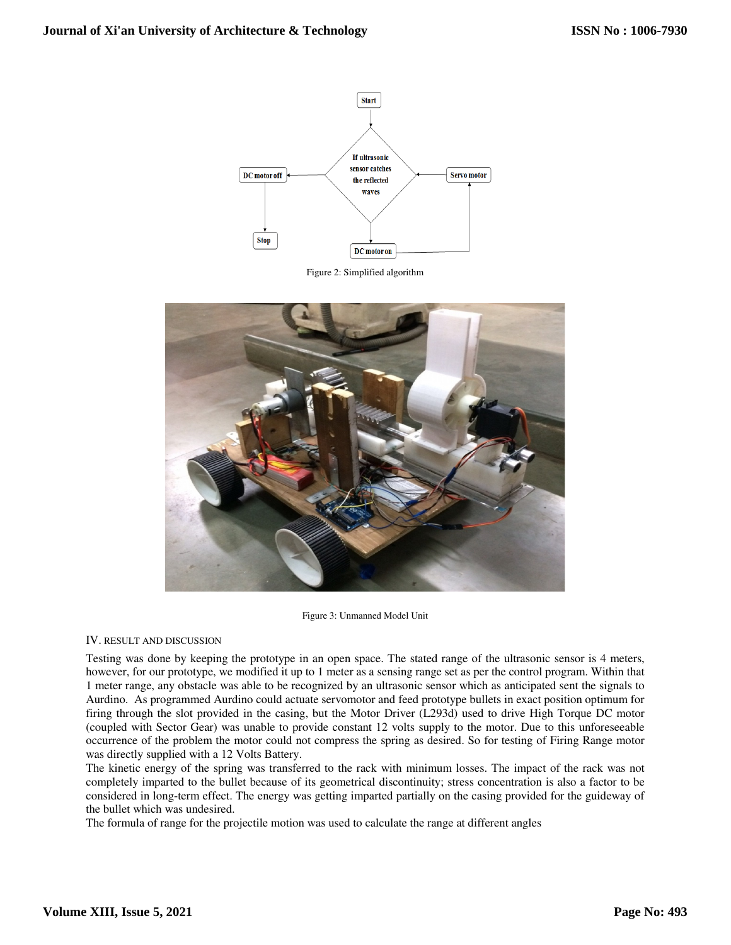

Figure 2: Simplified algorithm



Figure 3: Unmanned Model Unit

## IV. RESULT AND DISCUSSION

Testing was done by keeping the prototype in an open space. The stated range of the ultrasonic sensor is 4 meters, however, for our prototype, we modified it up to 1 meter as a sensing range set as per the control program. Within that 1 meter range, any obstacle was able to be recognized by an ultrasonic sensor which as anticipated sent the signals to Aurdino. As programmed Aurdino could actuate servomotor and feed prototype bullets in exact position optimum for firing through the slot provided in the casing, but the Motor Driver (L293d) used to drive High Torque DC motor (coupled with Sector Gear) was unable to provide constant 12 volts supply to the motor. Due to this unforeseeable occurrence of the problem the motor could not compress the spring as desired. So for testing of Firing Range motor was directly supplied with a 12 Volts Battery.

The kinetic energy of the spring was transferred to the rack with minimum losses. The impact of the rack was not completely imparted to the bullet because of its geometrical discontinuity; stress concentration is also a factor to be considered in long-term effect. The energy was getting imparted partially on the casing provided for the guideway of the bullet which was undesired.

The formula of range for the projectile motion was used to calculate the range at different angles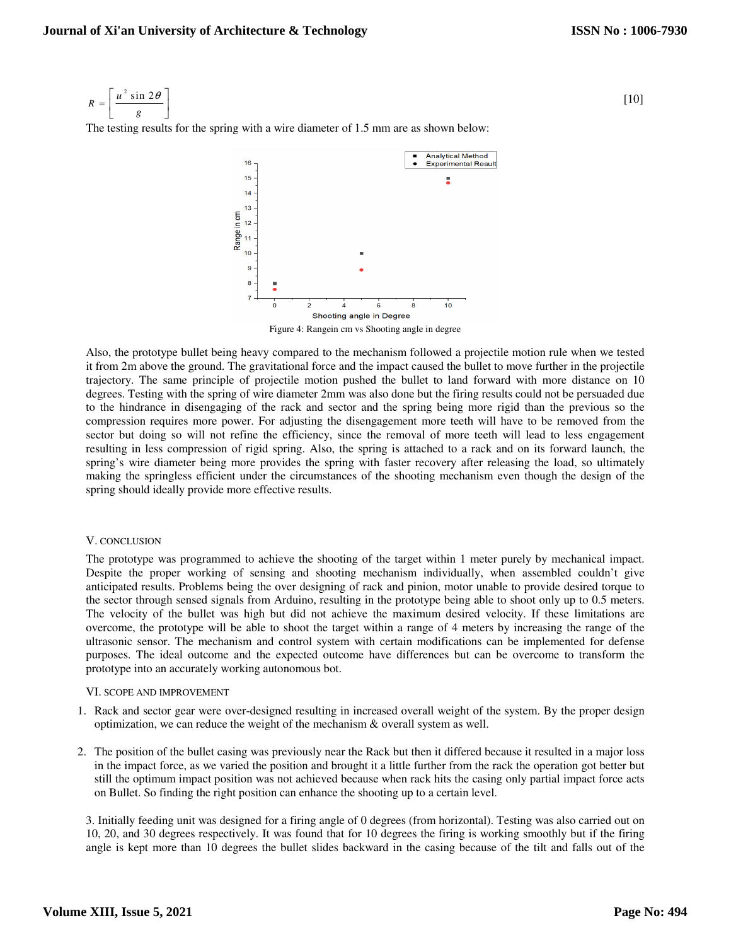$$
R = \left[ \frac{u^2 \sin 2\theta}{g} \right]
$$
 [10]

The testing results for the spring with a wire diameter of 1.5 mm are as shown below:



Figure 4: Rangein cm vs Shooting angle in degree

Also, the prototype bullet being heavy compared to the mechanism followed a projectile motion rule when we tested it from 2m above the ground. The gravitational force and the impact caused the bullet to move further in the projectile trajectory. The same principle of projectile motion pushed the bullet to land forward with more distance on 10 degrees. Testing with the spring of wire diameter 2mm was also done but the firing results could not be persuaded due to the hindrance in disengaging of the rack and sector and the spring being more rigid than the previous so the compression requires more power. For adjusting the disengagement more teeth will have to be removed from the sector but doing so will not refine the efficiency, since the removal of more teeth will lead to less engagement resulting in less compression of rigid spring. Also, the spring is attached to a rack and on its forward launch, the spring's wire diameter being more provides the spring with faster recovery after releasing the load, so ultimately making the springless efficient under the circumstances of the shooting mechanism even though the design of the spring should ideally provide more effective results.

## V. CONCLUSION

The prototype was programmed to achieve the shooting of the target within 1 meter purely by mechanical impact. Despite the proper working of sensing and shooting mechanism individually, when assembled couldn't give anticipated results. Problems being the over designing of rack and pinion, motor unable to provide desired torque to the sector through sensed signals from Arduino, resulting in the prototype being able to shoot only up to 0.5 meters. The velocity of the bullet was high but did not achieve the maximum desired velocity. If these limitations are overcome, the prototype will be able to shoot the target within a range of 4 meters by increasing the range of the ultrasonic sensor. The mechanism and control system with certain modifications can be implemented for defense purposes. The ideal outcome and the expected outcome have differences but can be overcome to transform the prototype into an accurately working autonomous bot.

## VI. SCOPE AND IMPROVEMENT

- 1. Rack and sector gear were over-designed resulting in increased overall weight of the system. By the proper design optimization, we can reduce the weight of the mechanism  $\&$  overall system as well.
- 2. The position of the bullet casing was previously near the Rack but then it differed because it resulted in a major loss in the impact force, as we varied the position and brought it a little further from the rack the operation got better but still the optimum impact position was not achieved because when rack hits the casing only partial impact force acts on Bullet. So finding the right position can enhance the shooting up to a certain level.

3. Initially feeding unit was designed for a firing angle of 0 degrees (from horizontal). Testing was also carried out on 10, 20, and 30 degrees respectively. It was found that for 10 degrees the firing is working smoothly but if the firing angle is kept more than 10 degrees the bullet slides backward in the casing because of the tilt and falls out of the